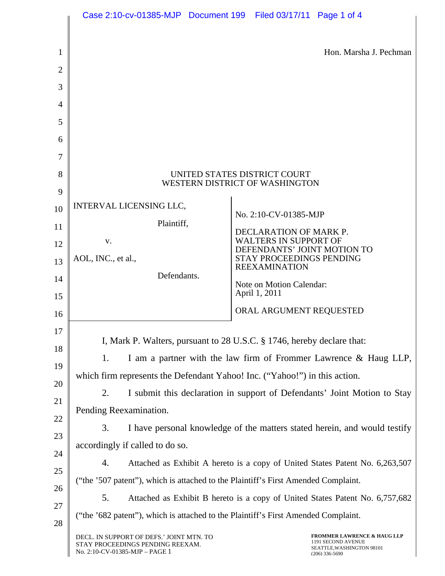|                                                                                          | Case 2:10-cv-01385-MJP Document 199 Filed 03/17/11 Page 1 of 4                                                        |                                                                                                               |  |
|------------------------------------------------------------------------------------------|-----------------------------------------------------------------------------------------------------------------------|---------------------------------------------------------------------------------------------------------------|--|
|                                                                                          |                                                                                                                       |                                                                                                               |  |
| 1                                                                                        |                                                                                                                       | Hon. Marsha J. Pechman                                                                                        |  |
| $\overline{2}$                                                                           |                                                                                                                       |                                                                                                               |  |
| 3                                                                                        |                                                                                                                       |                                                                                                               |  |
| 4                                                                                        |                                                                                                                       |                                                                                                               |  |
| 5                                                                                        |                                                                                                                       |                                                                                                               |  |
| 6                                                                                        |                                                                                                                       |                                                                                                               |  |
| 7                                                                                        |                                                                                                                       |                                                                                                               |  |
| 8                                                                                        | UNITED STATES DISTRICT COURT                                                                                          |                                                                                                               |  |
| 9                                                                                        |                                                                                                                       | WESTERN DISTRICT OF WASHINGTON                                                                                |  |
| 10                                                                                       | <b>INTERVAL LICENSING LLC,</b>                                                                                        | No. 2:10-CV-01385-MJP                                                                                         |  |
| 11                                                                                       | Plaintiff,                                                                                                            | DECLARATION OF MARK P.                                                                                        |  |
| 12                                                                                       | V.                                                                                                                    | <b>WALTERS IN SUPPORT OF</b><br>DEFENDANTS' JOINT MOTION TO                                                   |  |
| 13                                                                                       | AOL, INC., et al.,                                                                                                    | STAY PROCEEDINGS PENDING<br><b>REEXAMINATION</b>                                                              |  |
| 14                                                                                       | Defendants.                                                                                                           | Note on Motion Calendar:                                                                                      |  |
| 15                                                                                       |                                                                                                                       | April 1, 2011                                                                                                 |  |
| 16                                                                                       |                                                                                                                       | ORAL ARGUMENT REQUESTED                                                                                       |  |
| 17                                                                                       | I, Mark P. Walters, pursuant to 28 U.S.C. § 1746, hereby declare that:                                                |                                                                                                               |  |
| 18                                                                                       |                                                                                                                       |                                                                                                               |  |
| 19                                                                                       | 1.                                                                                                                    | I am a partner with the law firm of Frommer Lawrence & Haug LLP,                                              |  |
| 20                                                                                       | which firm represents the Defendant Yahoo! Inc. ("Yahoo!") in this action.                                            |                                                                                                               |  |
| 21                                                                                       | 2.                                                                                                                    | I submit this declaration in support of Defendants' Joint Motion to Stay                                      |  |
| 22                                                                                       | Pending Reexamination.                                                                                                |                                                                                                               |  |
| 23                                                                                       | 3.                                                                                                                    | I have personal knowledge of the matters stated herein, and would testify                                     |  |
| 24                                                                                       | accordingly if called to do so.<br>4.<br>Attached as Exhibit A hereto is a copy of United States Patent No. 6,263,507 |                                                                                                               |  |
| 25                                                                                       |                                                                                                                       |                                                                                                               |  |
| ("the '507 patent"), which is attached to the Plaintiff's First Amended Complaint.<br>26 |                                                                                                                       |                                                                                                               |  |
| 27                                                                                       | 5.                                                                                                                    | Attached as Exhibit B hereto is a copy of United States Patent No. 6,757,682                                  |  |
| 28                                                                                       | ("the '682 patent"), which is attached to the Plaintiff's First Amended Complaint.                                    |                                                                                                               |  |
|                                                                                          | DECL. IN SUPPORT OF DEFS.' JOINT MTN. TO<br>STAY PROCEEDINGS PENDING REEXAM.<br>No. 2:10-CV-01385-MJP - PAGE 1        | <b>FROMMER LAWRENCE &amp; HAUG LLP</b><br>1191 SECOND AVENUE<br>SEATTLE, WASHINGTON 98101<br>$(206)$ 336-5690 |  |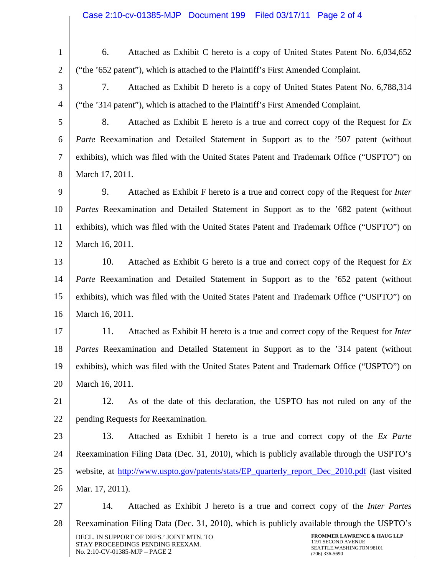| $\mathbf{1}$   | 6.<br>Attached as Exhibit C hereto is a copy of United States Patent No. 6,034,652                                                                                                                                              |  |
|----------------|---------------------------------------------------------------------------------------------------------------------------------------------------------------------------------------------------------------------------------|--|
| $\overline{2}$ | ("the '652 patent"), which is attached to the Plaintiff's First Amended Complaint.                                                                                                                                              |  |
| 3              | 7.<br>Attached as Exhibit D hereto is a copy of United States Patent No. 6,788,314                                                                                                                                              |  |
| $\overline{4}$ | ("the '314 patent"), which is attached to the Plaintiff's First Amended Complaint.                                                                                                                                              |  |
| 5              | 8.<br>Attached as Exhibit E hereto is a true and correct copy of the Request for $Ex$                                                                                                                                           |  |
| 6              | <i>Parte</i> Reexamination and Detailed Statement in Support as to the '507 patent (without                                                                                                                                     |  |
| $\tau$         | exhibits), which was filed with the United States Patent and Trademark Office ("USPTO") on                                                                                                                                      |  |
| 8              | March 17, 2011.                                                                                                                                                                                                                 |  |
| 9              | 9.<br>Attached as Exhibit F hereto is a true and correct copy of the Request for <i>Inter</i>                                                                                                                                   |  |
| 10             | <i>Partes</i> Reexamination and Detailed Statement in Support as to the '682 patent (without                                                                                                                                    |  |
| 11             | exhibits), which was filed with the United States Patent and Trademark Office ("USPTO") on                                                                                                                                      |  |
| 12             | March 16, 2011.                                                                                                                                                                                                                 |  |
| 13             | 10.<br>Attached as Exhibit G hereto is a true and correct copy of the Request for $Ex$                                                                                                                                          |  |
| 14             | <i>Parte</i> Reexamination and Detailed Statement in Support as to the '652 patent (without                                                                                                                                     |  |
| 15             | exhibits), which was filed with the United States Patent and Trademark Office ("USPTO") on                                                                                                                                      |  |
| 16             | March 16, 2011.                                                                                                                                                                                                                 |  |
| 17             | 11.<br>Attached as Exhibit H hereto is a true and correct copy of the Request for <i>Inter</i>                                                                                                                                  |  |
| 18             | <i>Partes</i> Reexamination and Detailed Statement in Support as to the '314 patent (without                                                                                                                                    |  |
| 19             | exhibits), which was filed with the United States Patent and Trademark Office ("USPTO") on                                                                                                                                      |  |
| 20             | March 16, 2011.                                                                                                                                                                                                                 |  |
| 21             | 12.<br>As of the date of this declaration, the USPTO has not ruled on any of the                                                                                                                                                |  |
| 22             | pending Requests for Reexamination.                                                                                                                                                                                             |  |
| 23             | 13.<br>Attached as Exhibit I hereto is a true and correct copy of the Ex Parte                                                                                                                                                  |  |
| 24             | Reexamination Filing Data (Dec. 31, 2010), which is publicly available through the USPTO's                                                                                                                                      |  |
| 25             | website, at http://www.uspto.gov/patents/stats/EP_quarterly_report_Dec_2010.pdf (last visited                                                                                                                                   |  |
| 26             | Mar. 17, 2011).                                                                                                                                                                                                                 |  |
| 27             | 14.<br>Attached as Exhibit J hereto is a true and correct copy of the <i>Inter Partes</i>                                                                                                                                       |  |
| 28             | Reexamination Filing Data (Dec. 31, 2010), which is publicly available through the USPTO's                                                                                                                                      |  |
|                | <b>FROMMER LAWRENCE &amp; HAUG LLP</b><br>DECL. IN SUPPORT OF DEFS.' JOINT MTN. TO<br>1191 SECOND AVENUE<br>STAY PROCEEDINGS PENDING REEXAM.<br>SEATTLE, WASHINGTON 98101<br>No. 2:10-CV-01385-MJP - PAGE 2<br>$(206)$ 336-5690 |  |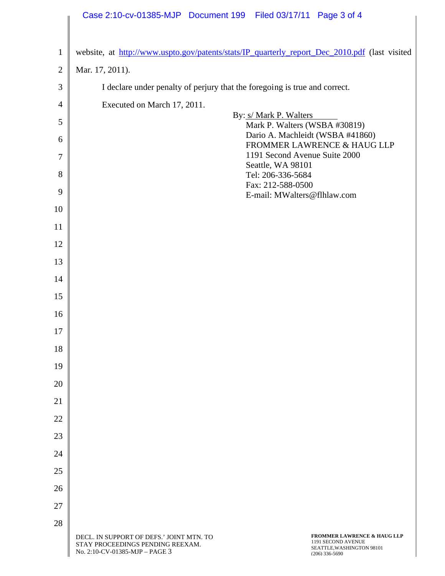|                | Case 2:10-cv-01385-MJP Document 199 Filed 03/17/11 Page 3 of 4                                                                                                                                                                  |
|----------------|---------------------------------------------------------------------------------------------------------------------------------------------------------------------------------------------------------------------------------|
|                |                                                                                                                                                                                                                                 |
| $\mathbf{1}$   | website, at http://www.uspto.gov/patents/stats/IP_quarterly_report_Dec_2010.pdf (last visited                                                                                                                                   |
| $\mathfrak{2}$ | Mar. 17, 2011).                                                                                                                                                                                                                 |
| $\mathfrak{Z}$ | I declare under penalty of perjury that the foregoing is true and correct.                                                                                                                                                      |
| 4              | Executed on March 17, 2011.                                                                                                                                                                                                     |
| 5              | By: s/ Mark P. Walters<br>Mark P. Walters (WSBA #30819)                                                                                                                                                                         |
| 6              | Dario A. Machleidt (WSBA #41860)<br>FROMMER LAWRENCE & HAUG LLP                                                                                                                                                                 |
| 7              | 1191 Second Avenue Suite 2000<br>Seattle, WA 98101                                                                                                                                                                              |
| 8              | Tel: 206-336-5684                                                                                                                                                                                                               |
| 9              | Fax: 212-588-0500<br>E-mail: MWalters@flhlaw.com                                                                                                                                                                                |
| 10             |                                                                                                                                                                                                                                 |
| 11             |                                                                                                                                                                                                                                 |
| 12             |                                                                                                                                                                                                                                 |
| 13             |                                                                                                                                                                                                                                 |
| 14             |                                                                                                                                                                                                                                 |
| 15             |                                                                                                                                                                                                                                 |
| 16             |                                                                                                                                                                                                                                 |
| 17             |                                                                                                                                                                                                                                 |
| 18             |                                                                                                                                                                                                                                 |
| 19             |                                                                                                                                                                                                                                 |
| 20             |                                                                                                                                                                                                                                 |
| 21             |                                                                                                                                                                                                                                 |
| 22             |                                                                                                                                                                                                                                 |
| 23             |                                                                                                                                                                                                                                 |
| 24             |                                                                                                                                                                                                                                 |
| 25             |                                                                                                                                                                                                                                 |
| 26             |                                                                                                                                                                                                                                 |
| 27             |                                                                                                                                                                                                                                 |
| 28             |                                                                                                                                                                                                                                 |
|                | <b>FROMMER LAWRENCE &amp; HAUG LLP</b><br>DECL. IN SUPPORT OF DEFS.' JOINT MTN. TO<br>1191 SECOND AVENUE<br>STAY PROCEEDINGS PENDING REEXAM.<br>SEATTLE, WASHINGTON 98101<br>No. 2:10-CV-01385-MJP - PAGE 3<br>$(206)$ 336-5690 |